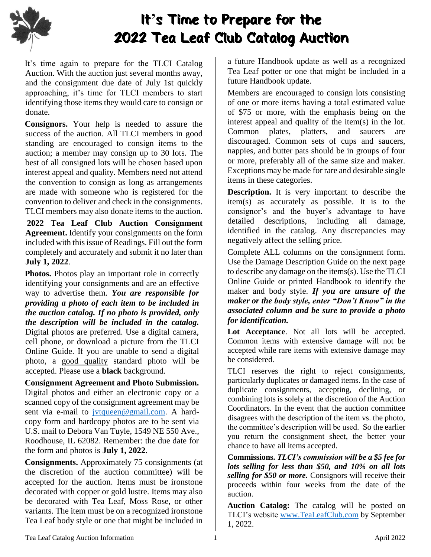

## It**'**s Time to Prepare for the 2022 Tea Leaf Club Catalog Auction

It's time again to prepare for the TLCI Catalog Auction. With the auction just several months away, and the consignment due date of July 1st quickly approaching, it's time for TLCI members to start identifying those items they would care to consign or donate.

**Consignors.** Your help is needed to assure the success of the auction. All TLCI members in good standing are encouraged to consign items to the auction; a member may consign up to 30 lots. The best of all consigned lots will be chosen based upon interest appeal and quality. Members need not attend the convention to consign as long as arrangements are made with someone who is registered for the convention to deliver and check in the consignments. TLCI members may also donate items to the auction.

**2022 Tea Leaf Club Auction Consignment Agreement.** Identify your consignments on the form included with this issue of Readings. Fill out the form completely and accurately and submit it no later than **July 1, 2022**.

**Photos.** Photos play an important role in correctly identifying your consignments and are an effective way to advertise them. *You are responsible for providing a photo of each item to be included in the auction catalog. If no photo is provided, only the description will be included in the catalog.* Digital photos are preferred. Use a digital camera, cell phone, or download a picture from the TLCI Online Guide. If you are unable to send a digital photo, a good quality standard photo will be accepted. Please use a **black** background.

**Consignment Agreement and Photo Submission.** Digital photos and either an electronic copy or a scanned copy of the consignment agreement may be sent via e-mail to jytqueen@gmail.com. A hardcopy form and hardcopy photos are to be sent via U.S. mail to Debora Van Tuyle, 1549 NE 550 Ave., Roodhouse, IL 62082. Remember: the due date for the form and photos is **July 1, 2022**.

**Consignments.** Approximately 75 consignments (at the discretion of the auction committee) will be accepted for the auction. Items must be ironstone decorated with copper or gold lustre. Items may also be decorated with Tea Leaf, Moss Rose, or other variants. The item must be on a recognized ironstone Tea Leaf body style or one that might be included in a future Handbook update as well as a recognized Tea Leaf potter or one that might be included in a future Handbook update.

Members are encouraged to consign lots consisting of one or more items having a total estimated value of \$75 or more, with the emphasis being on the interest appeal and quality of the item(s) in the lot. Common plates, platters, and saucers are discouraged. Common sets of cups and saucers, nappies, and butter pats should be in groups of four or more, preferably all of the same size and maker. Exceptions may be made for rare and desirable single items in these categories.

**Description.** It is very important to describe the item(s) as accurately as possible. It is to the consignor's and the buyer's advantage to have detailed descriptions, including all damage, identified in the catalog. Any discrepancies may negatively affect the selling price.

Complete ALL columns on the consignment form. Use the Damage Description Guide on the next page to describe any damage on the items(s). Use the TLCI Online Guide or printed Handbook to identify the maker and body style. *If you are unsure of the maker or the body style, enter "Don't Know" in the associated column and be sure to provide a photo for identification.*

Lot Acceptance. Not all lots will be accepted. Common items with extensive damage will not be accepted while rare items with extensive damage may be considered.

TLCI reserves the right to reject consignments, particularly duplicates or damaged items. In the case of duplicate consignments, accepting, declining, or combining lots is solely at the discretion of the Auction Coordinators. In the event that the auction committee disagrees with the description of the item vs. the photo, the committee's description will be used. So the earlier you return the consignment sheet, the better your chance to have all items accepted.

**Commissions.** *TLCI's commission will be a \$5 fee for lots selling for less than \$50, and 10% on all lots selling for \$50 or more.* Consignors will receive their proceeds within four weeks from the date of the auction.

**Auction Catalog:** The catalog will be posted on TLCI's website [www.TeaLeafClub.com](http://www.tealeafclub.com/) by September 1, 2022.